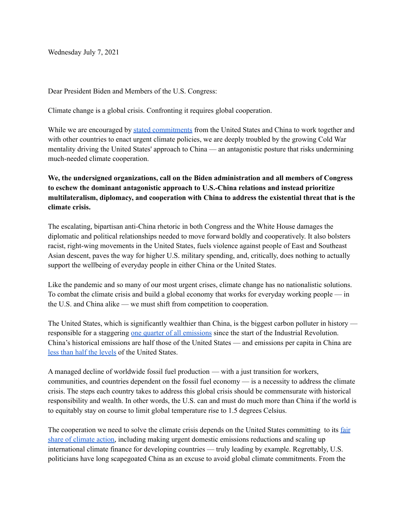Wednesday July 7, 2021

Dear President Biden and Members of the U.S. Congress:

Climate change is a global crisis. Confronting it requires global cooperation.

While we are encouraged by stated [commitments](https://www.state.gov/u-s-china-joint-statement-addressing-the-climate-crisis/) from the United States and China to work together and with other countries to enact urgent climate policies, we are deeply troubled by the growing Cold War mentality driving the United States' approach to China — an antagonistic posture that risks undermining much-needed climate cooperation.

**We, the undersigned organizations, call on the Biden administration and all members of Congress to eschew the dominant antagonistic approach to U.S.-China relations and instead prioritize multilateralism, diplomacy, and cooperation with China to address the existential threat that is the climate crisis.**

The escalating, bipartisan anti-China rhetoric in both Congress and the White House damages the diplomatic and political relationships needed to move forward boldly and cooperatively. It also bolsters racist, right-wing movements in the United States, fuels violence against people of East and Southeast Asian descent, paves the way for higher U.S. military spending, and, critically, does nothing to actually support the wellbeing of everyday people in either China or the United States.

Like the pandemic and so many of our most urgent crises, climate change has no nationalistic solutions. To combat the climate crisis and build a global economy that works for everyday working people — in the U.S. and China alike — we must shift from competition to cooperation.

The United States, which is significantly wealthier than China, is the biggest carbon polluter in history responsible for a staggering one quarter of all [emissions](https://ourworldindata.org/contributed-most-global-co2) since the start of the Industrial Revolution. China's historical emissions are half those of the United States — and emissions per capita in China are less than half the [levels](https://ourworldindata.org/co2-emissions) of the United States.

A managed decline of worldwide fossil fuel production — with a just transition for workers, communities, and countries dependent on the fossil fuel economy — is a necessity to address the climate crisis. The steps each country takes to address this global crisis should be commensurate with historical responsibility and wealth. In other words, the U.S. can and must do much more than China if the world is to equitably stay on course to limit global temperature rise to 1.5 degrees Celsius.

The cooperation we need to solve the climate crisis depends on the United States committing to its [fair](https://usfairshare.org/) share of [climate](https://usfairshare.org/) action, including making urgent domestic emissions reductions and scaling up international climate finance for developing countries — truly leading by example. Regrettably, U.S. politicians have long scapegoated China as an excuse to avoid global climate commitments. From the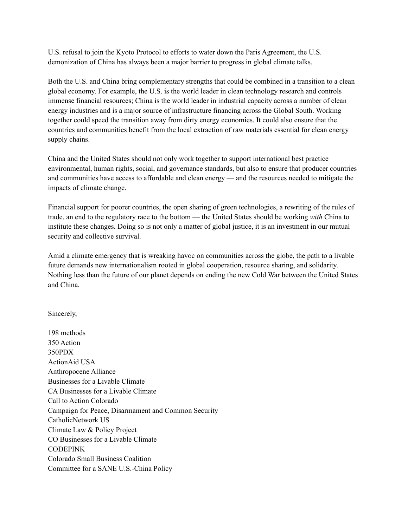U.S. refusal to join the Kyoto Protocol to efforts to water down the Paris Agreement, the U.S. demonization of China has always been a major barrier to progress in global climate talks.

Both the U.S. and China bring complementary strengths that could be combined in a transition to a clean global economy. For example, the U.S. is the world leader in clean technology research and controls immense financial resources; China is the world leader in industrial capacity across a number of clean energy industries and is a major source of infrastructure financing across the Global South. Working together could speed the transition away from dirty energy economies. It could also ensure that the countries and communities benefit from the local extraction of raw materials essential for clean energy supply chains.

China and the United States should not only work together to support international best practice environmental, human rights, social, and governance standards, but also to ensure that producer countries and communities have access to affordable and clean energy — and the resources needed to mitigate the impacts of climate change.

Financial support for poorer countries, the open sharing of green technologies, a rewriting of the rules of trade, an end to the regulatory race to the bottom — the United States should be working *with* China to institute these changes. Doing so is not only a matter of global justice, it is an investment in our mutual security and collective survival.

Amid a climate emergency that is wreaking havoc on communities across the globe, the path to a livable future demands new internationalism rooted in global cooperation, resource sharing, and solidarity. Nothing less than the future of our planet depends on ending the new Cold War between the United States and China.

Sincerely,

198 methods 350 Action 350PDX ActionAid USA Anthropocene Alliance Businesses for a Livable Climate CA Businesses for a Livable Climate Call to Action Colorado Campaign for Peace, Disarmament and Common Security CatholicNetwork US Climate Law & Policy Project CO Businesses for a Livable Climate CODEPINK Colorado Small Business Coalition Committee for a SANE U.S.-China Policy